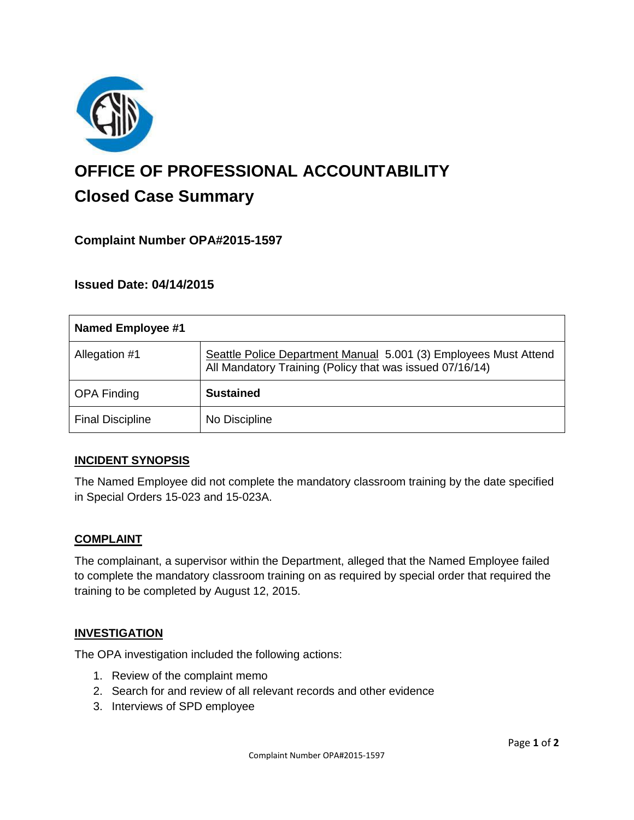

# **OFFICE OF PROFESSIONAL ACCOUNTABILITY Closed Case Summary**

## **Complaint Number OPA#2015-1597**

## **Issued Date: 04/14/2015**

| <b>Named Employee #1</b> |                                                                                                                              |
|--------------------------|------------------------------------------------------------------------------------------------------------------------------|
| Allegation #1            | Seattle Police Department Manual 5.001 (3) Employees Must Attend<br>All Mandatory Training (Policy that was issued 07/16/14) |
| <b>OPA Finding</b>       | <b>Sustained</b>                                                                                                             |
| <b>Final Discipline</b>  | No Discipline                                                                                                                |

## **INCIDENT SYNOPSIS**

The Named Employee did not complete the mandatory classroom training by the date specified in Special Orders 15-023 and 15-023A.

#### **COMPLAINT**

The complainant, a supervisor within the Department, alleged that the Named Employee failed to complete the mandatory classroom training on as required by special order that required the training to be completed by August 12, 2015.

#### **INVESTIGATION**

The OPA investigation included the following actions:

- 1. Review of the complaint memo
- 2. Search for and review of all relevant records and other evidence
- 3. Interviews of SPD employee